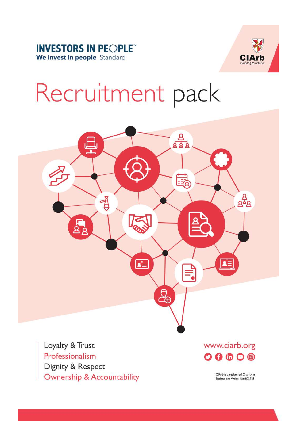



# Recruitment pack



Loyalty & Trust Professionalism Dignity & Respect **Ownership & Accountability**  www.ciarb.org  $\mathbf{O} \mathbf{O} \oplus \mathbf{O} \oplus$ 

> CIArb is a registered Charity in England and Wales, No: 803725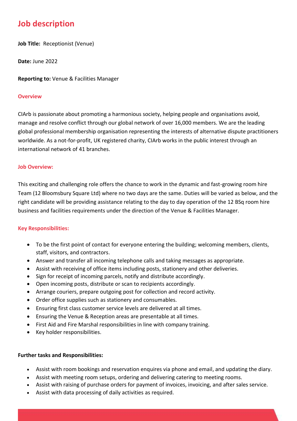### **Job description**

**Job Title:** Receptionist (Venue)

**Date:** June 2022

#### **Reporting to:** Venue & Facilities Manager

#### **Overview**

CIArb is passionate about promoting a harmonious society, helping people and organisations avoid, manage and resolve conflict through our global network of over 16,000 members. We are the leading global professional membership organisation representing the interests of alternative dispute practitioners worldwide. As a not-for-profit, UK registered charity, CIArb works in the public interest through an international network of 41 branches.

#### **Job Overview:**

This exciting and challenging role offers the chance to work in the dynamic and fast-growing room hire Team (12 Bloomsbury Square Ltd) where no two days are the same. Duties will be varied as below, and the right candidate will be providing assistance relating to the day to day operation of the 12 BSq room hire business and facilities requirements under the direction of the Venue & Facilities Manager.

#### **Key Responsibilities:**

- To be the first point of contact for everyone entering the building; welcoming members, clients, staff, visitors, and contractors.
- Answer and transfer all incoming telephone calls and taking messages as appropriate.
- Assist with receiving of office items including posts, stationery and other deliveries.
- Sign for receipt of incoming parcels, notify and distribute accordingly.
- Open incoming posts, distribute or scan to recipients accordingly.
- Arrange couriers, prepare outgoing post for collection and record activity.
- Order office supplies such as stationery and consumables.
- Ensuring first class customer service levels are delivered at all times.
- Ensuring the Venue & Reception areas are presentable at all times.
- First Aid and Fire Marshal responsibilities in line with company training.
- Key holder responsibilities.

#### **Further tasks and Responsibilities:**

- Assist with room bookings and reservation enquires via phone and email, and updating the diary.
- Assist with meeting room setups, ordering and delivering catering to meeting rooms.
- Assist with raising of purchase orders for payment of invoices, invoicing, and after sales service.
- Assist with data processing of daily activities as required.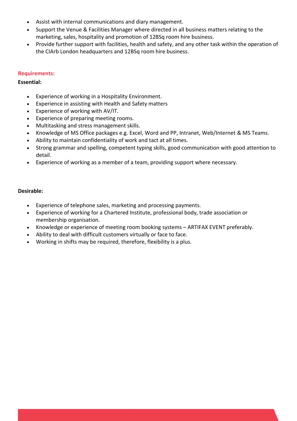- Assist with internal communications and diary management.
- Support the Venue & Facilities Manager where directed in all business matters relating to the marketing, sales, hospitality and promotion of 12BSq room hire business.
- Provide further support with facilities, health and safety, and any other task within the operation of the CIArb London headquarters and 12BSq room hire business.

#### **Requirements:**

#### **Essential:**

- Experience of working in a Hospitality Environment.
- Experience in assisting with Health and Safety matters
- Experience of working with AV/IT.
- Experience of preparing meeting rooms.
- Multitasking and stress management skills.
- Knowledge of MS Office packages e.g. Excel, Word and PP, Intranet, Web/Internet & MS Teams.
- Ability to maintain confidentiality of work and tact at all times.
- Strong grammar and spelling, competent typing skills, good communication with good attention to detail.
- Experience of working as a member of a team, providing support where necessary.

#### **Desirable:**

- Experience of telephone sales, marketing and processing payments.
- Experience of working for a Chartered Institute, professional body, trade association or membership organisation.
- Knowledge or experience of meeting room booking systems ARTIFAX EVENT preferably.
- Ability to deal with difficult customers virtually or face to face.
- Working in shifts may be required, therefore, flexibility is a plus.